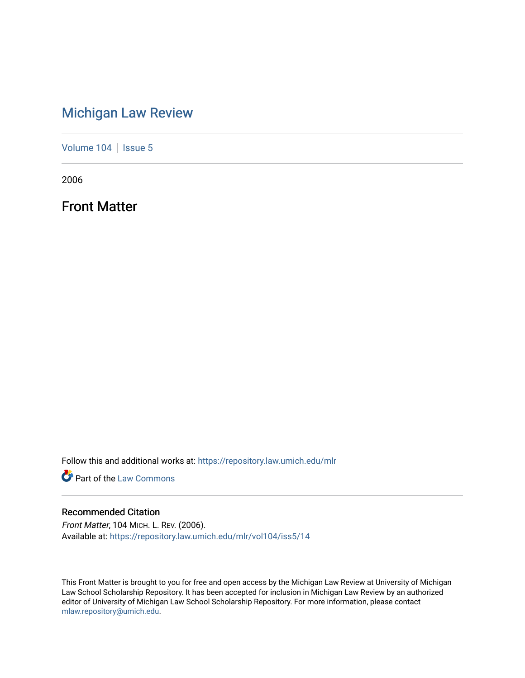### [Michigan Law Review](https://repository.law.umich.edu/mlr)

[Volume 104](https://repository.law.umich.edu/mlr/vol104) | [Issue 5](https://repository.law.umich.edu/mlr/vol104/iss5)

2006

Front Matter

Follow this and additional works at: [https://repository.law.umich.edu/mlr](https://repository.law.umich.edu/mlr?utm_source=repository.law.umich.edu%2Fmlr%2Fvol104%2Fiss5%2F14&utm_medium=PDF&utm_campaign=PDFCoverPages) 

**Part of the [Law Commons](http://network.bepress.com/hgg/discipline/578?utm_source=repository.law.umich.edu%2Fmlr%2Fvol104%2Fiss5%2F14&utm_medium=PDF&utm_campaign=PDFCoverPages)** 

#### Recommended Citation

Front Matter, 104 MICH. L. REV. (2006). Available at: [https://repository.law.umich.edu/mlr/vol104/iss5/14](https://repository.law.umich.edu/mlr/vol104/iss5/14?utm_source=repository.law.umich.edu%2Fmlr%2Fvol104%2Fiss5%2F14&utm_medium=PDF&utm_campaign=PDFCoverPages) 

This Front Matter is brought to you for free and open access by the Michigan Law Review at University of Michigan Law School Scholarship Repository. It has been accepted for inclusion in Michigan Law Review by an authorized editor of University of Michigan Law School Scholarship Repository. For more information, please contact [mlaw.repository@umich.edu.](mailto:mlaw.repository@umich.edu)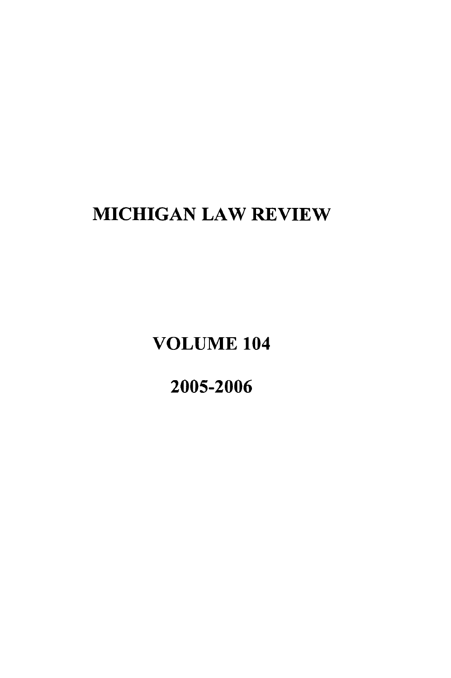## **MICHIGAN** LAW REVIEW

**VOLUME** 104

**2005-2006**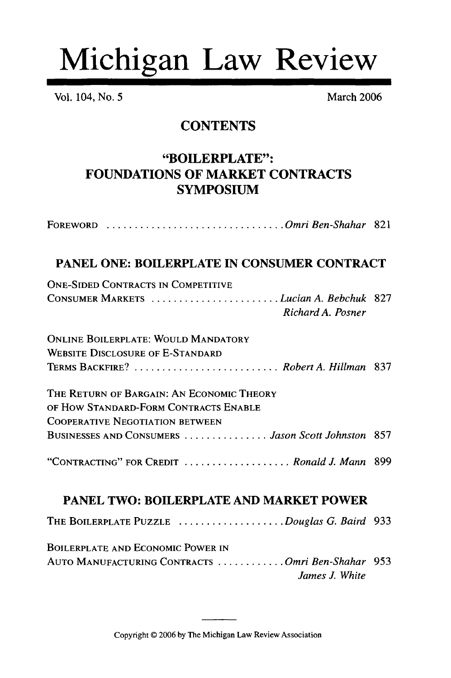# Michigan Law Review

Vol. 104, No. 5 March 2006

*James J. White*

#### **CONTENTS**

#### "BOILERPLATE": **FOUNDATIONS** OF MARKET **CONTRACTS SYMPOSIUM**

| FOREWORD Omri Ben-Shahar 821                                                        |  |
|-------------------------------------------------------------------------------------|--|
| PANEL ONE: BOILERPLATE IN CONSUMER CONTRACT                                         |  |
| <b>ONE-SIDED CONTRACTS IN COMPETITIVE</b><br>CONSUMER MARKETS Lucian A. Bebchuk 827 |  |
| Richard A. Posner                                                                   |  |
| <b>ONLINE BOILERPLATE: WOULD MANDATORY</b>                                          |  |
| <b>WEBSITE DISCLOSURE OF E-STANDARD</b>                                             |  |
| TERMS BACKFIRE?  Robert A. Hillman 837                                              |  |
| THE RETURN OF BARGAIN: AN ECONOMIC THEORY                                           |  |
| OF HOW STANDARD-FORM CONTRACTS ENABLE                                               |  |
| <b>COOPERATIVE NEGOTIATION BETWEEN</b>                                              |  |
| BUSINESSES AND CONSUMERS  Jason Scott Johnston 857                                  |  |
| "CONTRACTING" FOR CREDIT  Ronald J. Mann 899                                        |  |
| <b>PANEL TWO: BOILERPLATE AND MARKET POWER</b>                                      |  |
| THE BOILERPLATE PUZZLE Douglas G. Baird 933                                         |  |
| <b>BOILERPLATE AND ECONOMIC POWER IN</b>                                            |  |
| AUTO MANUFACTURING CONTRACTS Omri Ben-Shahar 953                                    |  |